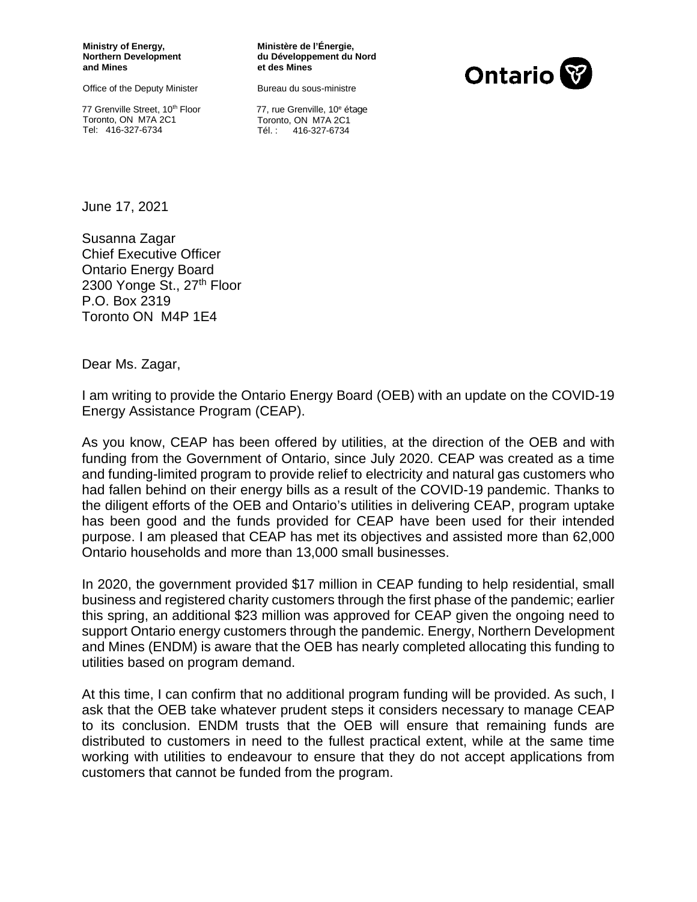**Ministry of Energy, Northern Development and Mines** 

Office of the Deputy Minister

77 Grenville Street, 10<sup>th</sup> Floor Toronto, ON M7A 2C1 Tel: 416-327-6734

**Ministère de l'Énergie, du Développement du Nord et des Mines**

Bureau du sous-ministre



77. rue Grenville, 10<sup>e</sup> étage Toronto, ON M7A 2C1 Tél. : 416-327-6734

June 17, 2021

Susanna Zagar Chief Executive Officer Ontario Energy Board 2300 Yonge St., 27<sup>th</sup> Floor P.O. Box 2319 Toronto ON M4P 1E4

Dear Ms. Zagar,

I am writing to provide the Ontario Energy Board (OEB) with an update on the COVID-19 Energy Assistance Program (CEAP).

As you know, CEAP has been offered by utilities, at the direction of the OEB and with funding from the Government of Ontario, since July 2020. CEAP was created as a time and funding-limited program to provide relief to electricity and natural gas customers who had fallen behind on their energy bills as a result of the COVID-19 pandemic. Thanks to the diligent efforts of the OEB and Ontario's utilities in delivering CEAP, program uptake has been good and the funds provided for CEAP have been used for their intended purpose. I am pleased that CEAP has met its objectives and assisted more than 62,000 Ontario households and more than 13,000 small businesses.

In 2020, the government provided \$17 million in CEAP funding to help residential, small business and registered charity customers through the first phase of the pandemic; earlier this spring, an additional \$23 million was approved for CEAP given the ongoing need to support Ontario energy customers through the pandemic. Energy, Northern Development and Mines (ENDM) is aware that the OEB has nearly completed allocating this funding to utilities based on program demand.

At this time, I can confirm that no additional program funding will be provided. As such, I ask that the OEB take whatever prudent steps it considers necessary to manage CEAP to its conclusion. ENDM trusts that the OEB will ensure that remaining funds are distributed to customers in need to the fullest practical extent, while at the same time working with utilities to endeavour to ensure that they do not accept applications from customers that cannot be funded from the program.